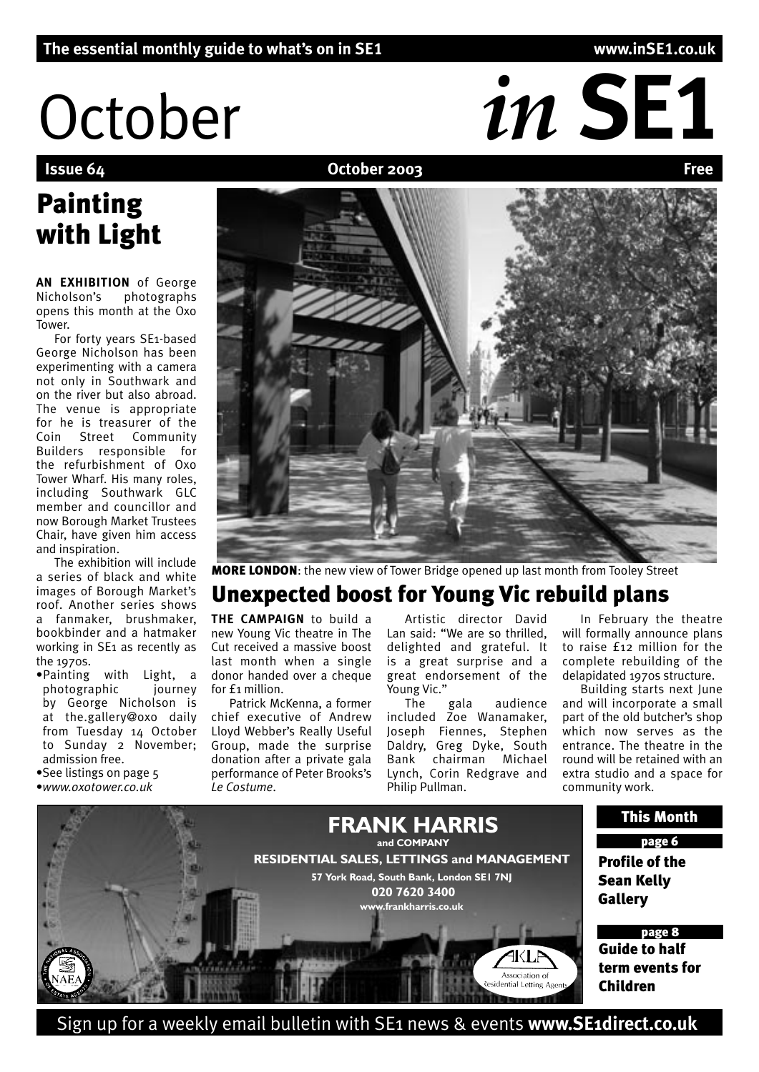# October *in* SE1

#### **October 2003**

# Painting with Light

**AN EXHIBITION** of George Nicholson's photographs opens this month at the Oxo Tower.

For forty years SE1-based George Nicholson has been experimenting with a camera not only in Southwark and on the river but also abroad. The venue is appropriate for he is treasurer of the Coin Street Community Builders responsible for the refurbishment of Oxo Tower Wharf. His many roles, including Southwark GLC member and councillor and now Borough Market Trustees Chair, have given him access and inspiration.

The exhibition will include a series of black and white images of Borough Market's roof. Another series shows a fanmaker, brushmaker, bookbinder and a hatmaker working in SE1 as recently as the 1970s.

- •Painting with Light, a photographic journey by George Nicholson is at the.gallery@oxo daily from Tuesday 14 October to Sunday 2 November: admission free.
- •See listings on page 5 •*www.oxotower.co.uk*
- 

# MORE LONDON: the new view of Tower Bridge opened up last month from Tooley Street

# Unexpected boost for Young Vic rebuild plans

**THE CAMPAIGN** to build a new Young Vic theatre in The Cut received a massive boost last month when a single donor handed over a cheque for £1 million.

Patrick McKenna, a former chief executive of Andrew Lloyd Webber's Really Useful Group, made the surprise donation after a private gala performance of Peter Brooks's *Le Costume*.

Artistic director David Lan said: "We are so thrilled, delighted and grateful. It is a great surprise and a great endorsement of the Young Vic."

The gala audience included Zoe Wanamaker, Joseph Fiennes, Stephen Daldry, Greg Dyke, South Bank chairman Michael Lynch, Corin Redgrave and Philip Pullman.

In February the theatre will formally announce plans to raise £12 million for the complete rebuilding of the delapidated 1970s structure.

Building starts next June and will incorporate a small part of the old butcher's shop which now serves as the entrance. The theatre in the round will be retained with an extra studio and a space for community work.



Sign up for a weekly email bulletin with SE1 news & events **www.SE1direct.co.uk**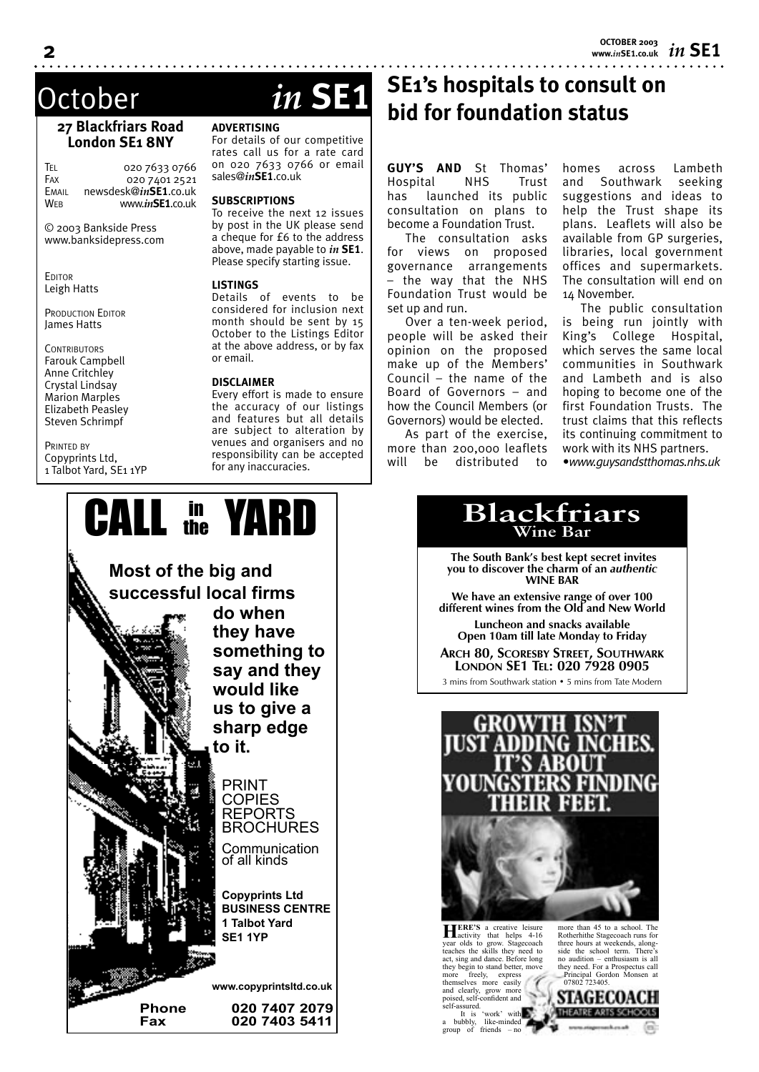*in* **SE1 OCTOBER 2003 www.***in***SE1.co.uk**

#### **27 Blackfriars Road London SE1 8NY**

TEL 020 7633 0766<br>Fax 020 7401 2521 020 7401 2521 EMAIL newsdesk@*in***SE1**.co.uk WEB www.*in***SE1**.co.uk

© 2003 Bankside Press www.banksidepress.com

**EDITOR** Leigh Hatts

PRODUCTION EDITOR James Hatts

**CONTRIBUTORS** Farouk Campbell Anne Critchley Crystal Lindsay Marion Marples Elizabeth Peasley Steven Schrimpf

PRINTED BY Copyprints Ltd, 1 Talbot Yard, SE1 1YP

# October *in* **SE1**

#### **ADVERTISING**

For details of our competitive rates call us for a rate card on 020 7633 0766 or email sales@*in***SE1**.co.uk

#### **SUBSCRIPTIONS**

To receive the next 12 issues by post in the UK please send a cheque for £6 to the address above, made payable to *in* **SE1**. Please specify starting issue.

#### **LISTINGS**

Details of events to be considered for inclusion next month should be sent by 15 October to the Listings Editor at the above address, or by fax or email.

#### **DISCLAIMER**

Every effort is made to ensure the accuracy of our listings and features but all details are subject to alteration by venues and organisers and no responsibility can be accepted for any inaccuracies.

# **SE1's hospitals to consult on bid for foundation status**

**GUY'S AND** St Thomas' Hospital NHS Trust has launched its public consultation on plans to become a Foundation Trust.

The consultation asks for views on proposed governance arrangements – the way that the NHS Foundation Trust would be set up and run.

Over a ten-week period, people will be asked their opinion on the proposed make up of the Members' Council – the name of the Board of Governors – and how the Council Members (or Governors) would be elected.

As part of the exercise, more than 200,000 leaflets will be distributed to

homes across Lambeth and Southwark seeking suggestions and ideas to help the Trust shape its plans. Leaflets will also be available from GP surgeries, libraries, local government offices and supermarkets. The consultation will end on 14 November.

The public consultation is being run jointly with King's College Hospital, which serves the same local communities in Southwark and Lambeth and is also hoping to become one of the first Foundation Trusts. The trust claims that this reflects its continuing commitment to work with its NHS partners.

*•www.guysandstthomas.nhs.uk*



 **The South Bank's best kept secret invites you to discover the charm of an** *authentic* **WINE BAR**

**We have an extensive range of over 100 different wines from the Old and New World**

**Luncheon and snacks available Open 10am till late Monday to Friday**

**ARCH 80, SCORESBY STREET, SOUTHWARK LONDON SE1 TEL: 020 7928 0905**

3 mins from Southwark station • 5 mins from Tate Modern

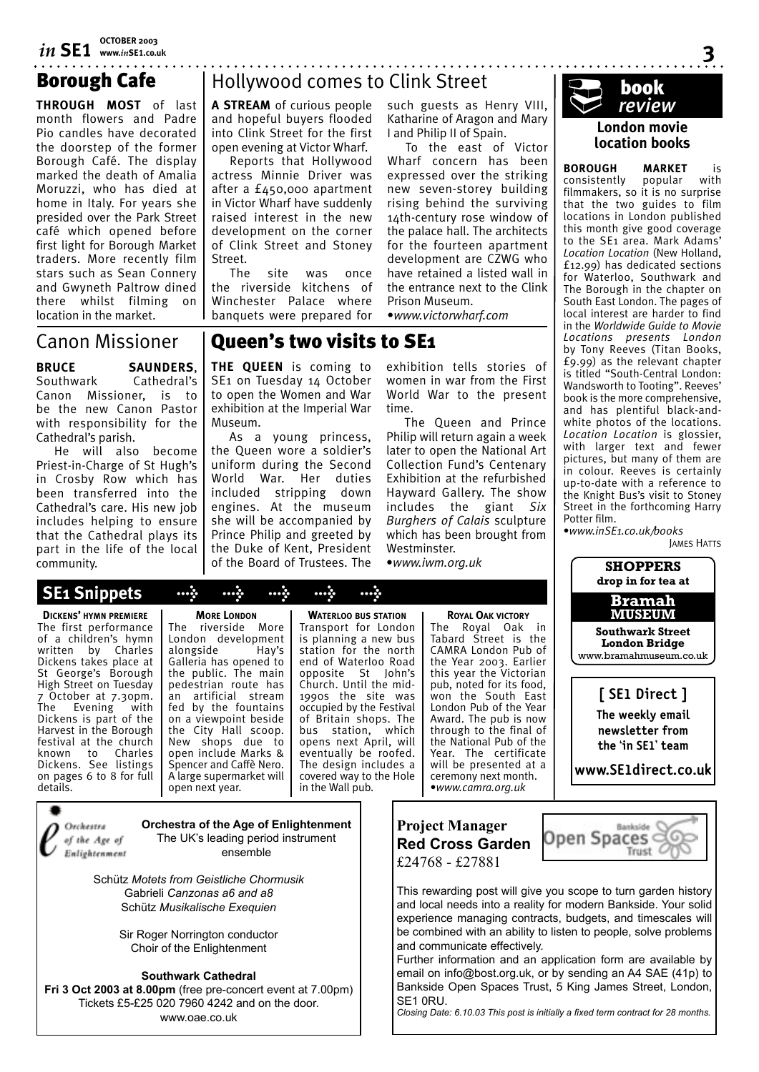# Borough Cafe

**THROUGH MOST** of last month flowers and Padre Pio candles have decorated the doorstep of the former Borough Café. The display marked the death of Amalia Moruzzi, who has died at home in Italy. For years she presided over the Park Street café which opened before first light for Borough Market traders. More recently film stars such as Sean Connery and Gwyneth Paltrow dined there whilst filming on location in the market.

# Hollywood comes to Clink Street

**A STREAM** of curious people and hopeful buyers flooded into Clink Street for the first open evening at Victor Wharf.

Reports that Hollywood actress Minnie Driver was after a £450,000 apartment in Victor Wharf have suddenly raised interest in the new development on the corner of Clink Street and Stoney Street.

The site was once the riverside kitchens of Winchester Palace where banquets were prepared for such guests as Henry VIII, Katharine of Aragon and Mary I and Philip II of Spain.

To the east of Victor Wharf concern has been expressed over the striking new seven-storey building rising behind the surviving 14th-century rose window of the palace hall. The architects for the fourteen apartment development are CZWG who have retained a listed wall in the entrance next to the Clink Prison Museum.

•*www.victorwharf.com*

## Canon Missioner

**BRUCE SAUNDERS**,<br>Southwark Cathedral's Cathedral's Canon Missioner, is to be the new Canon Pastor with responsibility for the Cathedral's parish.

He will also become Priest-in-Charge of St Hugh's in Crosby Row which has been transferred into the Cathedral's care. His new job includes helping to ensure that the Cathedral plays its part in the life of the local community.

# Queen's two visits to SE1

**THE QUEEN** is coming to SE1 on Tuesday 14 October to open the Women and War exhibition at the Imperial War Museum.

As a young princess, the Queen wore a soldier's uniform during the Second World War. Her duties included stripping down engines. At the museum she will be accompanied by Prince Philip and greeted by the Duke of Kent, President of the Board of Trustees. The

exhibition tells stories of women in war from the First World War to the present time.

The Queen and Prince Philip will return again a week later to open the National Art Collection Fund's Centenary Exhibition at the refurbished Hayward Gallery. The show includes the giant *Six Burghers of Calais* sculpture which has been brought from Westminster.

•*www.iwm.org.uk*



#### **London movie location books**

**BOROUGH MARKET** is consistently popular with filmmakers, so it is no surprise that the two guides to film locations in London published this month give good coverage to the SE1 area. Mark Adams' *Location Location* (New Holland, £12.99) has dedicated sections for Waterloo, Southwark and The Borough in the chapter on South East London. The pages of local interest are harder to find in the *Worldwide Guide to Movie Locations presents London* by Tony Reeves (Titan Books, £9.99) as the relevant chapter is titled "South-Central London: Wandsworth to Tooting". Reeves' book is the more comprehensive, and has plentiful black-andwhite photos of the locations. *Location Location* is glossier, with larger text and fewer pictures, but many of them are in colour. Reeves is certainly up-to-date with a reference to the Knight Bus's visit to Stoney Street in the forthcoming Harry Potter film.

•*www.inSE1.co.uk/books* JAMES HATTS



**[ SE1 Direct ]**

**The weekly email newsletter from the 'in SE1' team** 

**www.SE1direct.co.uk**

Rankside C

Trust C

G

Open Spaces ⊂

St George's Borough High Street on Tuesday 7 October at 7.30pm.<br>The Evening with Evening Dickens is part of the Harvest in the Borough festival at the church known to Charles Dickens. See listings on pages 6 to 8 for full details.

Orchestra

of the Age of

Enlightenment

**DICKENS' HYMN PREMIERE** The first performance of a children's hymn written by Charles Dickens takes place at

**MORE LONDON** The riverside More London development<br>alongside Hay's alongside Galleria has opened to the public. The main pedestrian route has an artificial stream fed by the fountains on a viewpoint beside the City Hall scoop. New shops due to open include Marks & Spencer and Caffè Nero. A large supermarket will open next year.

 **SE1 Snippets > > > > >**

**WATERLOO BUS STATION** Transport for London is planning a new bus station for the north end of Waterloo Road opposite St John's Church. Until the mid-1990s the site was occupied by the Festival of Britain shops. The bus station, which opens next April, will eventually be roofed. The design includes a covered way to the Hole in the Wall pub.

Tabard Street is the CAMRA London Pub of the Year 2003. Earlier this year the Victorian pub, noted for its food, won the South East London Pub of the Year Award. The pub is now through to the final of the National Pub of the Year. The certificate will be presented at a ceremony next month. •*www.camra.org.uk*

**ROYAL OAK VICTORY** The Royal Oak in



Schütz *Motets from Geistliche Chormusik* Gabrieli *Canzonas a6 and a8* Schütz *Musikalische Exequien*

> Sir Roger Norrington conductor Choir of the Enlightenment

#### **Southwark Cathedral**

**Fri 3 Oct 2003 at 8.00pm** (free pre-concert event at 7.00pm) Tickets £5-£25 020 7960 4242 and on the door. www.oae.co.uk



This rewarding post will give you scope to turn garden history and local needs into a reality for modern Bankside. Your solid experience managing contracts, budgets, and timescales will be combined with an ability to listen to people, solve problems and communicate effectively.

Further information and an application form are available by email on info@bost.org.uk, or by sending an A4 SAE (41p) to Bankside Open Spaces Trust, 5 King James Street, London, SE1 0RU.

*Closing Date: 6.10.03 This post is initially a fixed term contract for 28 months.*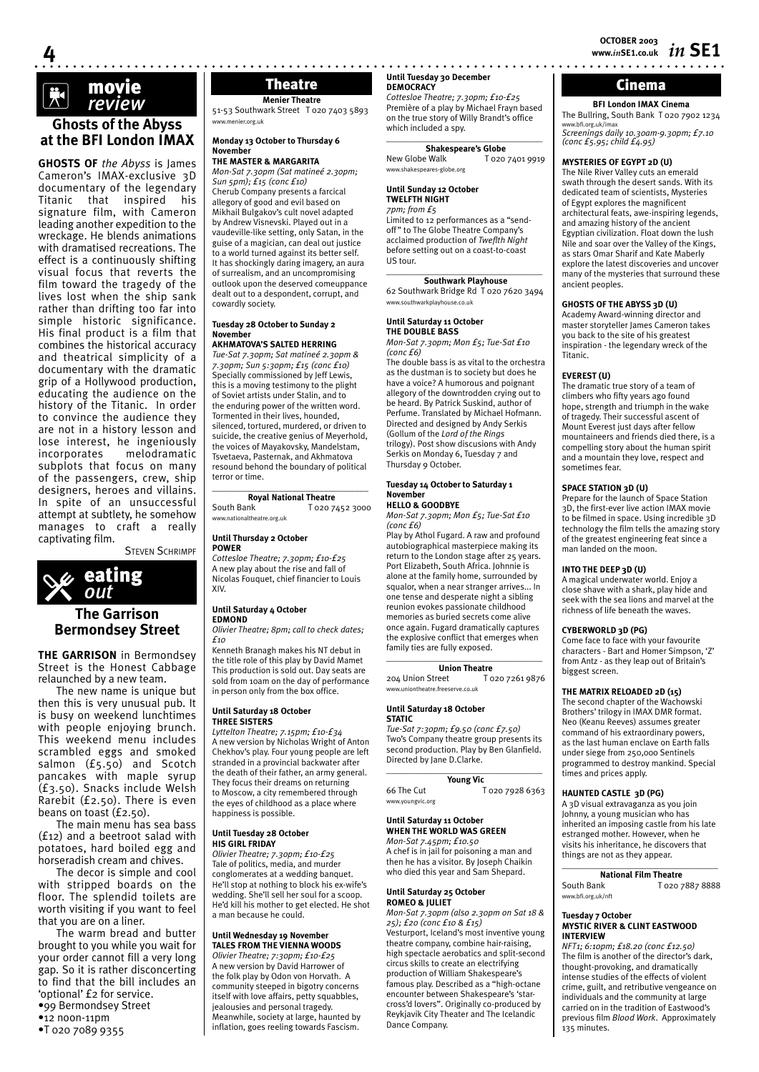# movie k *review*

**4**

#### **Ghosts of the Abyss at the BFI London IMAX**

**GHOSTS OF** *the Abyss* is James Cameron's IMAX-exclusive 3D documentary of the legendary Titanic that inspired his signature film, with Cameron leading another expedition to the wreckage. He blends animations with dramatised recreations. The effect is a continuously shifting visual focus that reverts the film toward the tragedy of the lives lost when the ship sank rather than drifting too far into simple historic significance. His final product is a film that combines the historical accuracy and theatrical simplicity of a documentary with the dramatic grip of a Hollywood production, educating the audience on the history of the Titanic. In order to convince the audience they are not in a history lesson and lose interest, he ingeniously<br>incorporates melodramatic melodramatic subplots that focus on many of the passengers, crew, ship designers, heroes and villains. In spite of an unsuccessful attempt at subtlety, he somehow manages to craft a really captivating film.

STEVEN SCHRIMPF



#### **The Garrison Bermondsey Street**

**THE GARRISON** in Bermondsey Street is the Honest Cabbage relaunched by a new team.

The new name is unique but then this is very unusual pub. It is busy on weekend lunchtimes with people enjoying brunch. This weekend menu includes scrambled eggs and smoked salmon (£5.50) and Scotch pancakes with maple syrup (£3.50). Snacks include Welsh Rarebit (£2.50). There is even beans on toast (£2.50).

The main menu has sea bass (£12) and a beetroot salad with potatoes, hard boiled egg and horseradish cream and chives.

The decor is simple and cool with stripped boards on the floor. The splendid toilets are worth visiting if you want to feel that you are on a liner.

The warm bread and butter brought to you while you wait for your order cannot fill a very long gap. So it is rather disconcerting to find that the bill includes an 'optional' £2 for service. •99 Bermondsey Street •12 noon-11pm

•T 020 7089 9355

### **Menier Theatre**

51-53 Southwark Street T 020 7403 5893 w.menier.org.uk

#### **Monday 13 October to Thursday 6 November**

#### **THE MASTER & MARGARITA**

*Mon-Sat 7.30pm (Sat matineé 2.30pm; Sun 5pm); £15 (conc £10)* Cherub Company presents a farcical allegory of good and evil based on Mikhail Bulgakov's cult novel adapted by Andrew Visnevski. Played out in a vaudeville-like setting, only Satan, in the guise of a magician, can deal out justice to a world turned against its better self. It has shockingly daring imagery, an aura of surrealism, and an uncompromising outlook upon the deserved comeuppance dealt out to a despondent, corrupt, and cowardly society.

#### **Tuesday 28 October to Sunday 2 November**

#### **AKHMATOVA'S SALTED HERRING**

*Tue-Sat 7.30pm; Sat matineé 2.30pm & 7.30pm; Sun 5:30pm; £15 (conc £10)* Specially commissioned by Jeff Lewis, this is a moving testimony to the plight of Soviet artists under Stalin, and to the enduring power of the written word. Tormented in their lives, hounded, silenced, tortured, murdered, or driven to suicide, the creative genius of Meyerhold, the voices of Mayakovsky, Mandelstam, Tsvetaeva, Pasternak, and Akhmatova resound behond the boundary of political terror or time.

#### \_\_\_\_\_\_\_\_\_\_\_\_\_\_\_\_\_\_\_\_\_\_\_\_\_\_\_\_\_\_\_\_\_\_\_ **Royal National Theatre**<br>South Bank T 020 7

T 020 7452 3000 www.nationaltheatre.org.uk

#### **Until Thursday 2 October**

**POWER** *Cottesloe Theatre; 7.30pm; £10-£25* A new play about the rise and fall of Nicolas Fouquet, chief financier to Louis XIV.

#### **Until Saturday 4 October EDMOND**

*Olivier Theatre; 8pm; call to check dates; £10*

Kenneth Branagh makes his NT debut in the title role of this play by David Mamet This production is sold out. Day seats are sold from 10am on the day of performance in person only from the box office.

#### **Until Saturday 18 October THREE SISTERS**

*Lyttelton Theatre; 7.15pm; £10-£34* A new version by Nicholas Wright of Anton Chekhov's play. Four young people are left stranded in a provincial backwater after the death of their father, an army general. They focus their dreams on returning to Moscow, a city remembered through the eyes of childhood as a place where happiness is possible.

#### **Until Tuesday 28 October HIS GIRL FRIDAY**

*Olivier Theatre; 7.30pm; £10-£25* Tale of politics, media, and murder conglomerates at a wedding banquet. He'll stop at nothing to block his ex-wife's wedding. She'll sell her soul for a scoop. He'd kill his mother to get elected. He shot a man because he could.

#### **Until Wednesday 19 November**

**TALES FROM THE VIENNA WOODS** *Olivier Theatre; 7:30pm; £10-£25* A new version by David Harrower of the folk play by Odon von Horvath. A community steeped in bigotry concerns itself with love affairs, petty squabbles, jealousies and personal tragedy. Meanwhile, society at large, haunted by inflation, goes reeling towards Fascism.

#### **Until Tuesday 30 December DEMOCRACY** Theatre **DEMOCRACY** DEMOCRACY **Theatre Cinema**

*Cottesloe Theatre; 7.30pm; £10-£25* Première of a play by Michael Frayn based on the true story of Willy Brandt's office which included a spy. \_\_\_\_\_\_\_\_\_\_\_\_\_\_\_\_\_\_\_\_\_\_\_\_\_\_\_\_\_\_\_\_\_\_\_

**Shakespeare's Globe**<br>New Globe Walk **T** 020 T 020 7401 9919 ww.shakespeares-globe.org

#### **Until Sunday 12 October**

**TWELFTH NIGHT**

*7pm; from £5* Limited to 12 performances as a "sendoff" to The Globe Theatre Company's acclaimed production of *Tweflth Night*  before setting out on a coast-to-coast US tour.  $\_$ 

#### **Southwark Playhouse**

62 Southwark Bridge Rd T 020 7620 3494 www.southwarkplayhouse.co.uk

#### **Until Saturday 11 October THE DOUBLE BASS**

*Mon-Sat 7.30pm; Mon £5; Tue-Sat £10 (conc £6)*

The double bass is as vital to the orchestra as the dustman is to society but does he have a voice? A humorous and poignant allegory of the downtrodden crying out to be heard. By Patrick Suskind, author of Perfume. Translated by Michael Hofmann. Directed and designed by Andy Serkis (Gollum of the *Lord of the Rings* trilogy). Post show discusions with Andy Serkis on Monday 6, Tuesday 7 and Thursday 9 October.

#### **Tuesday 14 October to Saturday 1 November HELLO & GOODBYE**

*Mon-Sat 7.30pm; Mon £5; Tue-Sat £10 (conc £6)*

Play by Athol Fugard. A raw and profound autobiographical masterpiece making its return to the London stage after 25 years. Port Elizabeth, South Africa. Johnnie is alone at the family home, surrounded by squalor, when a near stranger arrives... In one tense and desperate night a sibling reunion evokes passionate childhood memories as buried secrets come alive once again. Fugard dramatically captures the explosive conflict that emerges when family ties are fully exposed.  $\_$ 

**Union Theatre**<br>
reet To20 7261 9876 204 Union Street www.uniontheatre.freeserve.co.uk

#### **Until Saturday 18 October STATIC**

*Tue-Sat 7:30pm; £9.50 (conc £7.50)* Two's Company theatre group presents its second production. Play by Ben Glanfield. Directed by Jane D.Clarke.  $\_$ 

**Young Vic**<br>66 The Cut T 020 7928 6363

www.youngvic.org

#### **Until Saturday 11 October WHEN THE WORLD WAS GREEN**

*Mon-Sat 7.45pm; £10.50* A chef is in jail for poisoning a man and then he has a visitor. By Joseph Chaikin who died this year and Sam Shepard.

#### **Until Saturday 25 October ROMEO & JULIET**

*Mon-Sat 7.30pm (also 2.30pm on Sat 18 & 25); £20 (conc £10 & £15)* Vesturport, Iceland's most inventive young theatre company, combine hair-raising, high spectacle aerobatics and split-second circus skills to create an electrifying production of William Shakespeare's famous play. Described as a "high-octane encounter between Shakespeare's 'starcross'd lovers". Originally co-produced by Reykjavik City Theater and The Icelandic Dance Company.

**BFI London IMAX Cinema** The Bullring, South Bank T 020 7902 1234 www.bfi.org.uk/imax *Screenings daily 10.30am-9.30pm; £7.10 (conc £5.95; child £4.95)*

#### **MYSTERIES OF EGYPT 2D (U)**

The Nile River Valley cuts an emerald swath through the desert sands. With its dedicated team of scientists, Mysteries of Egypt explores the magnificent architectural feats, awe-inspiring legends, and amazing history of the ancient Egyptian civilization. Float down the lush Nile and soar over the Valley of the Kings, as stars Omar Sharif and Kate Maberly explore the latest discoveries and uncover many of the mysteries that surround these ancient peoples.

#### **GHOSTS OF THE ABYSS 3D (U)**

Academy Award-winning director and master storyteller James Cameron takes you back to the site of his greatest inspiration - the legendary wreck of the Titanic.

#### **EVEREST (U)**

The dramatic true story of a team of climbers who fifty years ago found hope, strength and triumph in the wake of tragedy. Their successful ascent of Mount Everest just days after fellow mountaineers and friends died there, is a compelling story about the human spirit and a mountain they love, respect and sometimes fear.

#### **SPACE STATION 3D (U)**

Prepare for the launch of Space Station 3D, the first-ever live action IMAX movie to be filmed in space. Using incredible 3D technology the film tells the amazing story of the greatest engineering feat since a man landed on the moon.

#### **INTO THE DEEP 3D (U)**

A magical underwater world. Enjoy a close shave with a shark, play hide and seek with the sea lions and marvel at the richness of life beneath the waves.

#### **CYBERWORLD 3D (PG)**

Come face to face with your favourite characters - Bart and Homer Simpson, 'Z' from Antz - as they leap out of Britain's biggest screen.

#### **THE MATRIX RELOADED 2D (15)**

The second chapter of the Wachowski Brothers' trilogy in IMAX DMR format. Neo (Keanu Reeves) assumes greater command of his extraordinary powers, as the last human enclave on Earth falls under siege from 250,000 Sentinels programmed to destroy mankind. Special times and prices apply.

#### **HAUNTED CASTLE 3D (PG)**

A 3D visual extravaganza as you join Johnny, a young musician who has inherited an imposing castle from his late estranged mother. However, when he visits his inheritance, he discovers that things are not as they appear.

#### $\_$ **National Film Theatre**<br> **South Bank T** 020 7 T 020 7887 8888

www.bfi.org.uk/nft

#### **Tuesday 7 October MYSTIC RIVER & CLINT EASTWOOD INTERVIEW**

*NFT1; 6:10pm; £18.20 (conc £12.50)* The film is another of the director's dark, thought-provoking, and dramatically intense studies of the effects of violent crime, guilt, and retributive vengeance on individuals and the community at large carried on in the tradition of Eastwood's previous film *Blood Work*. Approximately 135 minutes.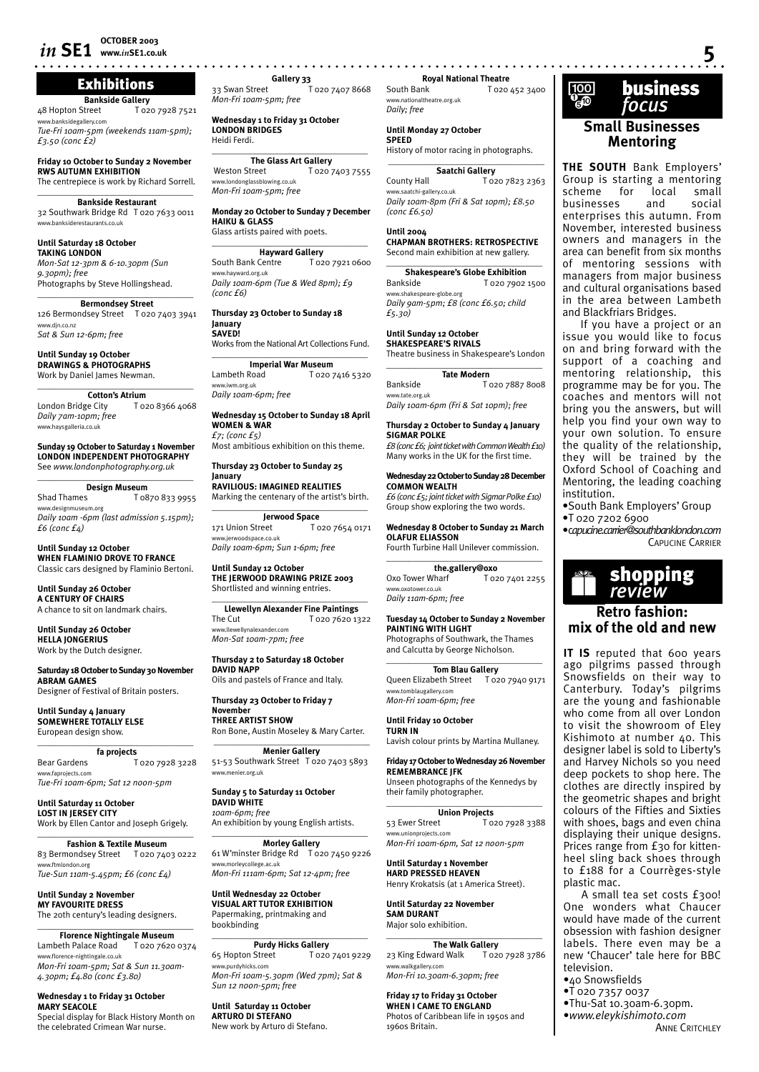#### Exhibitions

**Bankside Gallery**<br>20 I Gozdet Hopton Street T 020 7928 7521 idegallery.cor *Tue-Fri 10am-5pm (weekends 11am-5pm);* 

*£3.50 (conc £2)*

**Friday 10 October to Sunday 2 November RWS AUTUMN EXHIBITION** The centrepiece is work by Richard Sorrell.  $\overline{\phantom{a}}$  ,  $\overline{\phantom{a}}$  ,  $\overline{\phantom{a}}$  ,  $\overline{\phantom{a}}$  ,  $\overline{\phantom{a}}$  ,  $\overline{\phantom{a}}$  ,  $\overline{\phantom{a}}$  ,  $\overline{\phantom{a}}$  ,  $\overline{\phantom{a}}$  ,  $\overline{\phantom{a}}$  ,  $\overline{\phantom{a}}$  ,  $\overline{\phantom{a}}$  ,  $\overline{\phantom{a}}$  ,  $\overline{\phantom{a}}$  ,  $\overline{\phantom{a}}$  ,  $\overline{\phantom{a}}$ 

**Bankside Restaurant** 32 Southwark Bridge Rd T 020 7633 0011 www.banksiderestaurants.co.uk

#### **Until Saturday 18 October**

**TAKING LONDON** *Mon-Sat 12-3pm & 6-10.30pm (Sun 9.30pm); free* Photographs by Steve Hollingshead.

#### \_\_\_\_\_\_\_\_\_\_\_\_\_\_\_\_\_\_\_\_\_\_\_\_\_\_\_\_\_\_\_\_\_\_\_ **Bermondsey Street**

126 Bermondsey Street T 020 7403 3941 www.djn.co.nz *Sat & Sun 12-6pm; free*

**Until Sunday 19 October DRAWINGS & PHOTOGRAPHS** Work by Daniel James Newman.

\_\_\_\_\_\_\_\_\_\_\_\_\_\_\_\_\_\_\_\_\_\_\_\_\_\_\_\_\_\_\_\_\_\_\_ **Cotton's Atrium** London Bridge City T 020 8366 4068 *Daily 7am-10pm; free*

www.haysgalleria.co.uk

**Sunday 19 October to Saturday 1 November LONDON INDEPENDENT PHOTOGRAPHY** See *www.londonphotography.org.uk*

#### $\overline{\phantom{a}}$  , where  $\overline{\phantom{a}}$  , where  $\overline{\phantom{a}}$  , where  $\overline{\phantom{a}}$ **Design Museum**<br>Shad Thames To 8

Shad Thames T 0870 833 9955 www.designmuseum.org *Daily 10am -6pm (last admission 5.15pm); £6 (conc £4)*

**Until Sunday 12 October WHEN FLAMINIO DROVE TO FRANCE** Classic cars designed by Flaminio Bertoni.

**Until Sunday 26 October A CENTURY OF CHAIRS** A chance to sit on landmark chairs.

**Until Sunday 26 October HELLA JONGERIUS** Work by the Dutch designer.

**Saturday 18 October to Sunday 30 November ABRAM GAMES** Designer of Festival of Britain posters.

**Until Sunday 4 January SOMEWHERE TOTALLY ELSE** European design show.

\_\_\_\_\_\_\_\_\_\_\_\_\_\_\_\_\_\_\_\_\_\_\_\_\_\_\_\_\_\_\_\_\_\_\_ **fa projects**

Bear Gardens T 020 7928 3228 www.faprojects.com *Tue-Fri 10am-6pm; Sat 12 noon-5pm*

**Until Saturday 11 October LOST IN JERSEY CITY** Work by Ellen Cantor and Joseph Grigely. \_\_\_\_\_\_\_\_\_\_\_\_\_\_\_\_\_\_\_\_\_\_\_\_\_\_\_\_\_\_\_\_\_\_\_

**Fashion & Textile Museum** 83 Bermondsey Street T 020 7403 0222 www.ftmlondon.org *Tue-Sun 11am-5.45pm; £6 (conc £4)*

**Until Sunday 2 November MY FAVOURITE DRESS** The 20th century's leading designers.

#### \_\_\_\_\_\_\_\_\_\_\_\_\_\_\_\_\_\_\_\_\_\_\_\_\_\_\_\_\_\_\_\_\_\_\_ **Florence Nightingale Museum**<br>Lambeth Palace Road \_\_ T 020 7620 T 020 7620 0374 w.florence-nightingale.co.uk

*Mon-Fri 10am-5pm; Sat & Sun 11.30am-4.30pm; £4.80 (conc £3.80)*

**Wednesday 1 to Friday 31 October MARY SEACOLE** Special display for Black History Month on the celebrated Crimean War nurse.

**Gallery 33** 33 Swan Street T 020 7407 8668

*Mon-Fri 10am-5pm; free* **Wednesday 1 to Friday 31 October** 

**LONDON BRIDGES** Heidi Ferdi.  $\overline{\phantom{a}}$  , and the set of the set of the set of the set of the set of the set of the set of the set of the set of the set of the set of the set of the set of the set of the set of the set of the set of the set of the s

**The Glass Art Gallery** Weston Street T 020 7403 7555 www.londonglassblowing.co.uk *Mon-Fri 10am-5pm; free*

**Monday 20 October to Sunday 7 December HAIKU & GLASS** Glass artists paired with poets.

 $\overline{\phantom{a}}$  , and the set of the set of the set of the set of the set of the set of the set of the set of the set of the set of the set of the set of the set of the set of the set of the set of the set of the set of the s

**Hayward Gallery**<br>South Bank Centre **T102**  $T_{020}$  7921 0600 www.hayward.org.uk *Daily 10am-6pm (Tue & Wed 8pm); £9 (conc £6)* 

**Thursday 23 October to Sunday 18 January SAVED!**

Works from the National Art Collections Fund. \_\_\_\_\_\_\_\_\_\_\_\_\_\_\_\_\_\_\_\_\_\_\_\_\_\_\_\_\_\_\_\_\_\_\_

**Imperial War Museum**<br>Lambeth Road To20 T 020 7416 5320 www.iwm.org.uk *Daily 10am-6pm; free* 

**Wednesday 15 October to Sunday 18 April WOMEN & WAR** *£7; (conc £5)*

Most ambitious exhibition on this theme.

#### **Thursday 23 October to Sunday 25 January**

**RAVILIOUS: IMAGINED REALITIES** Marking the centenary of the artist's birth.  $\overline{\phantom{a}}$  , and the set of the set of the set of the set of the set of the set of the set of the set of the set of the set of the set of the set of the set of the set of the set of the set of the set of the set of the s **Jerwood Space**

171 Union Street T 020 7654 0171 www.jerwoodspace.co.uk *Daily 10am-6pm; Sun 1-6pm; free*

**Until Sunday 12 October THE JERWOOD DRAWING PRIZE 2003** Shortlisted and winning entries. \_\_\_\_\_\_\_\_\_\_\_\_\_\_\_\_\_\_\_\_\_\_\_\_\_\_\_\_\_\_\_\_\_\_\_

**Llewellyn Alexander Fine Paintings** The Cut T 020 7620 1322 www.llewellynalexander.com *Mon-Sat 10am-7pm; free*

**Thursday 2 to Saturday 18 October DAVID NAPP** Oils and pastels of France and Italy.

**Thursday 23 October to Friday 7 November THREE ARTIST SHOW**

Ron Bone, Austin Moseley & Mary Carter.  $\overline{\phantom{a}}$  , and the set of the set of the set of the set of the set of the set of the set of the set of the set of the set of the set of the set of the set of the set of the set of the set of the set of the set of the s

**Menier Gallery** 51-53 Southwark Street T 020 7403 5893 www.menier.org.uk

**Sunday 5 to Saturday 11 October DAVID WHITE** *10am-6pm; free* An exhibition by young English artists.

**Morley Gallery** 61 W'minster Bridge Rd T 020 7450 9226 www.morleycollege.ac.uk *Mon-Fri 111am-6pm; Sat 12-4pm; free*

\_\_\_\_\_\_\_\_\_\_\_\_\_\_\_\_\_\_\_\_\_\_\_\_\_\_\_\_\_\_\_\_\_\_\_

**Until Wednesday 22 October VISUAL ART TUTOR EXHIBITION**  Papermaking, printmaking and bookbinding

**Purdy Hicks Gallery** 65 Hopton Street T 020 7401 9229 www.purdyhicks.com *Mon-Fri 10am-5.30pm (Wed 7pm); Sat & Sun 12 noon-5pm; free*

 $\overline{\phantom{a}}$  , and the set of the set of the set of the set of the set of the set of the set of the set of the set of the set of the set of the set of the set of the set of the set of the set of the set of the set of the s

**Until Saturday 11 October ARTURO DI STEFANO** New work by Arturo di Stefano. **Royal National Theatre**<br>**Royal National Tozo** 

T 020 452 3400 www.nationaltheatre.org.uk *Daily; free*

#### **Until Monday 27 October**

**SPEED** History of motor racing in photographs.

 $\_$ **Saatchi Gallery** County Hall T 020 7823 2363 www.saatchi-gallery.co.uk *Daily 10am-8pm (Fri & Sat 10pm); £8.50 (conc £6.50)*

**Until 2004**

**CHAPMAN BROTHERS: RETROSPECTIVE** Second main exhibition at new gallery.

 $\overline{\phantom{a}}$  , and the set of the set of the set of the set of the set of the set of the set of the set of the set of the set of the set of the set of the set of the set of the set of the set of the set of the set of the s **Shakespeare's Globe Exhibition** Bankside T 020 7902 1500 www.shakespeare-globe.org *Daily 9am-5pm; £8 (conc £6.50; child £5.30)*

#### **Until Sunday 12 October SHAKESPEARE'S RIVALS**

Theatre business in Shakespeare's London \_\_\_\_\_\_\_\_\_\_\_\_\_\_\_\_\_\_\_\_\_\_\_\_\_\_\_\_\_\_\_\_\_\_\_

| <b>Tate Modern</b>                    |                 |
|---------------------------------------|-----------------|
| Bankside                              | T 020 7887 8008 |
| www.tate.org.uk                       |                 |
| Daily 10am-6pm (Fri & Sat 10pm); free |                 |

**Thursday 2 October to Sunday 4 January SIGMAR POLKE**

*£8 (conc £6; joint ticket with Common Wealth £10)* Many works in the UK for the first time.

**Wednesday 22 October to Sunday 28 December COMMON WEALTH** *£6 (conc £5; joint ticket with Sigmar Polke £10)*

Group show exploring the two words.

**Wednesday 8 October to Sunday 21 March OLAFUR ELIASSON** Fourth Turbine Hall Unilever commission.

 $\overline{\phantom{a}}$  , and the set of the set of the set of the set of the set of the set of the set of the set of the set of the set of the set of the set of the set of the set of the set of the set of the set of the set of the s **the.gallery@oxo**<br>
/harf T 020 7401 2255 Oxo Tower Wharf w.oxotower.co.uk

*Daily 11am-6pm; free*

**Tuesday 14 October to Sunday 2 November PAINTING WITH LIGHT** Photographs of Southwark, the Thames

and Calcutta by George Nicholson. \_\_\_\_\_\_\_\_\_\_\_\_\_\_\_\_\_\_\_\_\_\_\_\_\_\_\_\_\_\_\_\_\_\_\_

**Tom Blau Gallery** Queen Elizabeth Street T 020 7940 9171 www.tomblaugallery.com *Mon-Fri 10am-6pm; free*

**Until Friday 10 October TURN IN** Lavish colour prints by Martina Mullaney.

**Friday 17 October to Wednesday 26 November REMEMBRANCE JFK**

Unseen photographs of the Kennedys by their family photographer. \_\_\_\_\_\_\_\_\_\_\_\_\_\_\_\_\_\_\_\_\_\_\_\_\_\_\_\_\_\_\_\_\_\_\_

Union Projects<br>
T 020 7928 3388 53 Ewer Street www.unionprojects.com *Mon-Fri 10am-6pm, Sat 12 noon-5pm*

**Until Saturday 1 November HARD PRESSED HEAVEN** Henry Krokatsis (at 1 America Street).

**Until Saturday 22 November SAM DURANT** Major solo exhibition.

\_\_\_\_\_\_\_\_\_\_\_\_\_\_\_\_\_\_\_\_\_\_\_\_\_\_\_\_\_\_\_\_\_\_\_ **The Walk Gallery** 23 King Edward Walk T 020 7928 3786 www.walkgallery.com *Mon-Fri 10.30am-6.30pm; free*

**Friday 17 to Friday 31 October WHEN I CAME TO ENGLAND** Photos of Caribbean life in 1950s and 1960s Britain.



**Mentoring**

**THE SOUTH** Bank Employers' Group is starting a mentoring<br>scheme for local small scheme for local small<br>businesses and social businesses and social enterprises this autumn. From November, interested business owners and managers in the area can benefit from six months of mentoring sessions with managers from major business and cultural organisations based in the area between Lambeth and Blackfriars Bridges.

If you have a project or an issue you would like to focus on and bring forward with the support of a coaching and mentoring relationship, this programme may be for you. The coaches and mentors will not bring you the answers, but will help you find your own way to your own solution. To ensure the quality of the relationship, they will be trained by the Oxford School of Coaching and Mentoring, the leading coaching institution.

•South Bank Employers' Group •T 020 7202 6900

•c*apucine.carrier@southbanklondon.com* CAPUCINE CARRIER



**mix of the old and new** 

**IT IS** reputed that 600 years ago pilgrims passed through Snowsfields on their way to Canterbury. Today's pilgrims are the young and fashionable who come from all over London to visit the showroom of Eley Kishimoto at number 40. This designer label is sold to Liberty's and Harvey Nichols so you need deep pockets to shop here. The clothes are directly inspired by the geometric shapes and bright colours of the Fifties and Sixties with shoes, bags and even china displaying their unique designs. Prices range from £30 for kittenheel sling back shoes through to £188 for a Courrèges-style plastic mac.

A small tea set costs £300! One wonders what Chaucer would have made of the current obsession with fashion designer labels. There even may be a new 'Chaucer' tale here for BBC television.

- •40 Snowsfields
- •T 020 7357 0037
- •Thu-Sat 10.30am-6.30pm. •*www.eleykishimoto.com*

**ANNE CRITCHLEY**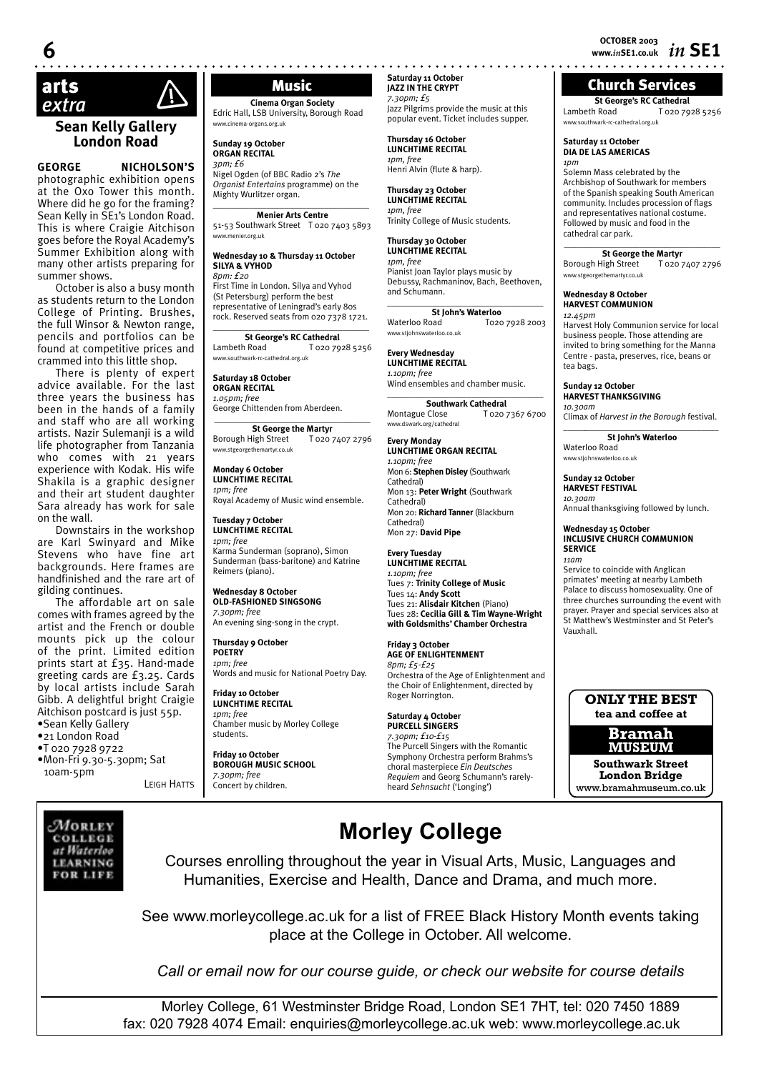**OCTOBER 2003 6 www.***in***SE1.co.uk** *in* **SE1**

## Church Services

**St George's RC Cathedral**<br>Lambeth Road<br>T 020 79 Lambeth Road T 020 7928 5256 www.southwark-rc-cathedral.org.uk

#### **Saturday 11 October DIA DE LAS AMERICAS** *1pm*

Solemn Mass celebrated by the Archbishop of Southwark for members of the Spanish speaking South American community. Includes procession of flags and representatives national costume. Followed by music and food in the cathedral car park.

**\_\_\_\_\_\_\_\_\_\_\_\_\_\_\_\_\_\_\_\_\_\_\_\_\_\_\_\_\_\_\_\_\_\_\_ St George the Martyr<br>ligh Street** T 020 7407 2796 Borough High Street www.stgeorgethemartyr.co.uk

#### **Wednesday 8 October HARVEST COMMUNION**

*12.45pm* Harvest Holy Communion service for local business people. Those attending are invited to bring something for the Manna Centre - pasta, preserves, rice, beans or tea bags.

**Sunday 12 October HARVEST THANKSGIVING** *10.30am*

Climax of *Harvest in the Borough* festival. \_\_\_\_\_*\_\_\_\_\_\_\_\_\_\_\_\_\_\_\_\_\_\_\_\_\_\_\_\_\_\_\_\_\_\_*

**St John's Waterloo** Waterloo Road www.stjohnswaterloo.co.uk

**Sunday 12 October HARVEST FESTIVAL** *10.30am*

Annual thanksgiving followed by lunch.

**Wednesday 15 October INCLUSIVE CHURCH COMMUNION SERVICE** *11am* 

Service to coincide with Anglican primates' meeting at nearby Lambeth Palace to discuss homosexuality. One of three churches surrounding the event with prayer. Prayer and special services also at St Matthew's Westminster and St Peter's Vauxhall.

#### **ONLY THE BEST tea and coffee at**

**Bramah MUSEUM** 

**Southwark Street London Bridge** www.bramahmuseum.co.uk

## $\mathsf{arts}$   $\land$   $\blacksquare$  Music  *extra* !

#### **Sean Kelly Gallery London Road**

**GEORGE NICHOLSON'S** photographic exhibition opens at the Oxo Tower this month. Where did he go for the framing? Sean Kelly in SE1's London Road. This is where Craigie Aitchison goes before the Royal Academy's Summer Exhibition along with many other artists preparing for summer shows.

October is also a busy month as students return to the London College of Printing. Brushes, the full Winsor & Newton range, pencils and portfolios can be found at competitive prices and crammed into this little shop.

There is plenty of expert advice available. For the last three years the business has been in the hands of a family and staff who are all working artists. Nazir Sulemanji is a wild life photographer from Tanzania who comes with 21 years experience with Kodak. His wife Shakila is a graphic designer and their art student daughter Sara already has work for sale on the wall.

Downstairs in the workshop are Karl Swinyard and Mike Stevens who have fine art backgrounds. Here frames are handfinished and the rare art of gilding continues.

The affordable art on sale comes with frames agreed by the artist and the French or double mounts pick up the colour of the print. Limited edition prints start at £35. Hand-made greeting cards are £3.25. Cards by local artists include Sarah Gibb. A delightful bright Craigie Aitchison postcard is just 55p. •Sean Kelly Gallery

•21 London Road •T 020 7928 9722

•Mon-Fri 9.30-5.30pm; Sat 10am-5pm LEIGH HATTS

**Saturday 11 October JAZZ IN THE CRYPT** *7.30pm; £5*

**Thursday 16 October LUNCHTIME RECITAL** *1pm, free*

**Thursday 30 October LUNCHTIME RECITAL** *1pm, free*

and Schumann.

Waterloo Road www.stjohnswaterloo.co.uk **Every Wednesday LUNCHTIME RECITAL** *1.10pm; free*

www.dswark.org/cathedral **Every Monday**

*1.10pm; free*

Cathedral)

Cathedral)

Cathedral) Mon 27: **David Pipe Every Tuesday LUNCHTIME RECITAL** *1.10pm; free*

**Friday 3 October AGE OF ENLIGHTENMENT**

Roger Norrington. **Saturday 4 October PURCELL SINGERS**

*8pm; £5-£25* 

**LUNCHTIME ORGAN RECITAL**

Mon 6: **Stephen Disley** (Southwark

Mon 13: **Peter Wright** (Southwark

Mon 20: **Richard Tanner** (Blackburn

Tues 7: **Trinity College of Music** Tues 14: **Andy Scott** 

Tues 21: **Alisdair Kitchen** (Piano) Tues 28: **Cecilia Gill & Tim Wayne-Wright with Goldsmiths' Chamber Orchestra** 

Orchestra of the Age of Enlightenment and the Choir of Enlightenment, directed by

*7.30pm; £10-£15* The Purcell Singers with the Romantic Symphony Orchestra perform Brahms's choral masterpiece *Ein Deutsches Requiem* and Georg Schumann's rarelyheard *Sehnsucht* ('Longing')

*1pm, free*

Henri Alvin (flute & harp). **Thursday 23 October LUNCHTIME RECITAL**

Trinity College of Music students.

Pianist Joan Taylor plays music by Debussy, Rachmaninov, Bach, Beethoven,

\_\_\_\_\_\_\_\_\_\_\_\_\_\_\_\_\_\_\_\_\_\_\_\_\_\_\_\_\_\_\_\_\_\_\_

Wind ensembles and chamber music. \_\_\_\_\_\_\_\_\_\_\_\_\_\_\_\_\_\_\_\_\_\_\_\_\_\_\_\_\_\_\_\_\_\_\_ **Southwark Cathedral**<br>Montague Close **T** 020

**St John's Waterloo**<br>and **To20 7928 2003** 

T 020 7367 6700

Jazz Pilgrims provide the music at this popular event. Ticket includes supper.

**Cinema Organ Society** Edric Hall, LSB University, Borough Road www.cinema-organs.org.uk

**Sunday 19 October ORGAN RECITAL** *3pm; £6*

Nigel Ogden (of BBC Radio 2's *The Organist Entertains* programme) on the Mighty Wurlitzer organ. \_\_\_\_\_\_\_\_\_\_\_\_\_\_\_\_\_\_\_\_\_\_\_\_\_\_\_\_\_\_\_\_\_\_\_

**Menier Arts Centre** 51-53 Southwark Street T 020 7403 5893 www.menier.org.uk

#### **Wednesday 10 & Thursday 11 October SILYA & VYHOD**

*8pm: £20* First Time in London. Silya and Vyhod (St Petersburg) perform the best representative of Leningrad's early 80s rock. Reserved seats from 020 7378 1721.

 $\_$ **St George's RC Cathedral**<br>1 Road<br>1 020 7928 5256

Lambeth Road www.southwark-rc-cathedral.org.uk

**Saturday 18 October ORGAN RECITAL** *1.05pm; free* George Chittenden from Aberdeen.

**\_\_\_\_\_\_\_\_\_\_\_\_\_\_\_\_\_\_\_\_\_\_\_\_\_\_\_\_\_\_\_\_\_\_\_ St George the Martyr<br>High Street T 020 7407 2796** Borough High Street www.stgeorgethemartyr.co.uk

**Monday 6 October LUNCHTIME RECITAL** *1pm; free*

Royal Academy of Music wind ensemble.

**Tuesday 7 October LUNCHTIME RECITAL** *1pm; free* Karma Sunderman (soprano), Simon Sunderman (bass-baritone) and Katrine Reimers (piano).

**Wednesday 8 October OLD-FASHIONED SINGSONG** *7.30pm; free* 

An evening sing-song in the crypt.

**Thursday 9 October POETRY** *1pm; free* Words and music for National Poetry Day.

**Friday 10 October LUNCHTIME RECITAL** *1pm; free* Chamber music by Morley College students.

**Friday 10 October BOROUGH MUSIC SCHOOL** *7.30pm; free* Concert by children.

# **Morley College**

Courses enrolling throughout the year in Visual Arts, Music, Languages and Humanities, Exercise and Health, Dance and Drama, and much more.

See www.morleycollege.ac.uk for a list of FREE Black History Month events taking place at the College in October. All welcome.

*Call or email now for our course guide, or check our website for course details*

Morley College, 61 Westminster Bridge Road, London SE1 7HT, tel: 020 7450 1889 fax: 020 7928 4074 Email: enquiries@morleycollege.ac.uk web: www.morleycollege.ac.uk

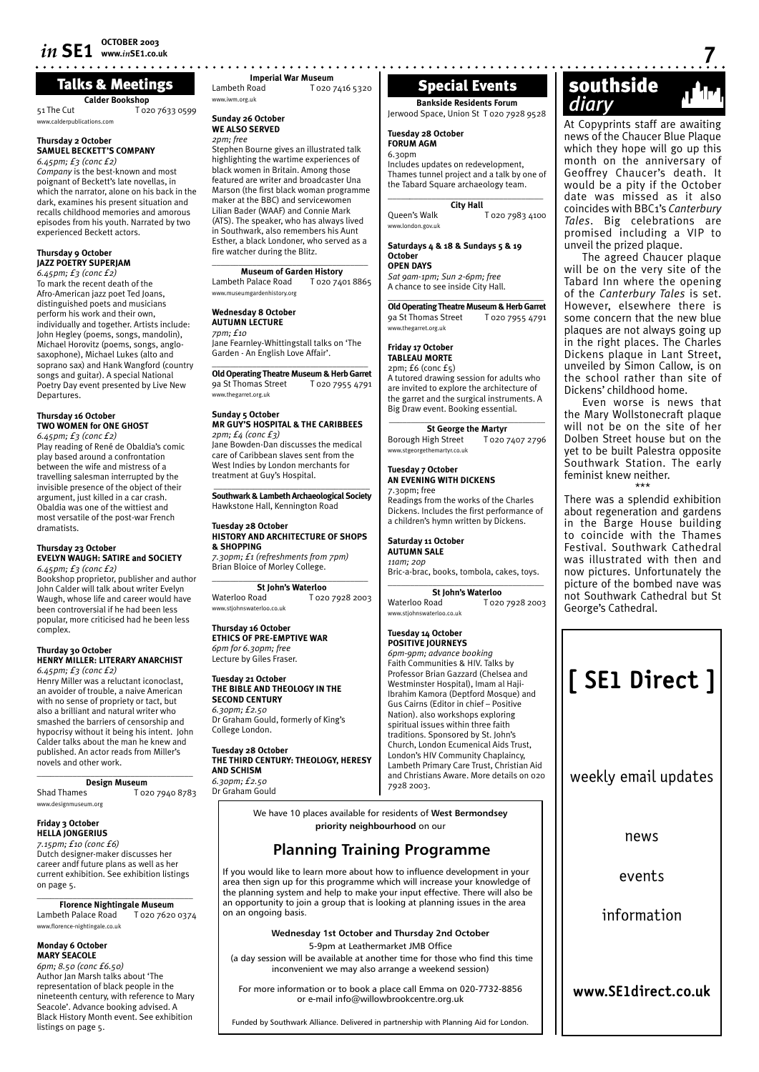**Calder Bookshop** 51 The Cut T 020 7633 0599 Talks & Meetings

#### **Thursday 2 October SAMUEL BECKETT'S COMPANY**

<sub>-</sub><br>www.calderpublications.com

*6.45pm; £3 (conc £2) Company* is the best-known and most poignant of Beckett's late novellas, in which the narrator, alone on his back in the dark, examines his present situation and recalls childhood memories and amorous episodes from his youth. Narrated by two experienced Beckett actors.

#### **Thursday 9 October JAZZ POETRY SUPERJAM**

*6.45pm; £3 (conc £2)* To mark the recent death of the Afro-American jazz poet Ted Joans, distinguished poets and musicians perform his work and their own, individually and together. Artists include: John Hegley (poems, songs, mandolin), Michael Horovitz (poems, songs, anglosaxophone), Michael Lukes (alto and soprano sax) and Hank Wangford (country songs and guitar). A special National Poetry Day event presented by Live New Departures.

#### **Thursday 16 October TWO WOMEN for ONE GHOST**

*6.45pm; £3 (conc £2)* Play reading of René de Obaldia's comic play based around a confrontation between the wife and mistress of a travelling salesman interrupted by the invisible presence of the object of their argument, just killed in a car crash. Obaldia was one of the wittiest and most versatile of the post-war French dramatists.

#### **Thursday 23 October EVELYN WAUGH: SATIRE and SOCIETY** *6.45pm; £3 (conc £2)*

Bookshop proprietor, publisher and author John Calder will talk about writer Evelyn Waugh, whose life and career would have been controversial if he had been less popular, more criticised had he been less complex.

#### **Thurday 30 October HENRY MILLER: LITERARY ANARCHIST** *6.45pm; £3 (conc £2)*

Henry Miller was a reluctant iconoclast, an avoider of trouble, a naive American with no sense of propriety or tact, but also a brilliant and natural writer who smashed the barriers of censorship and hypocrisy without it being his intent. John Calder talks about the man he knew and published. An actor reads from Miller's novels and other work.

\_\_\_\_\_\_\_\_\_\_\_\_\_\_\_\_\_\_\_\_\_\_\_\_\_\_\_\_\_\_\_\_\_\_\_ **Design Museum**<br>Shad Thames To<sub>2</sub> T 020 7940 8783 www.designmuseum.org

#### **Friday 3 October**

**HELLA JONGERIUS** *7.15pm; £10 (conc £6)* Dutch designer-maker discusses her career andf future plans as well as her current exhibition. See exhibition listings on page 5.

\_\_\_\_\_\_\_\_\_\_\_\_\_\_\_\_\_\_\_\_\_\_\_\_\_\_\_\_\_\_\_\_\_\_\_ **Florence Nightingale Museum** Lambeth Palace Road T 020 7620 0374 www.florence-nightingale.co.uk

#### **Monday 6 October MARY SEACOLE**

*6pm; 8.50 (conc £6.50)* Author Jan Marsh talks about 'The representation of black people in the nineteenth century, with reference to Mary Seacole'. Advance booking advised. A Black History Month event. See exhibition listings on page 5.

**Imperial War Museum**<br>I ozo 7 T T 020 7416 5320 www.iwm.org.uk

#### **Sunday 26 October WE ALSO SERVED**

*2pm; free* Stephen Bourne gives an illustrated talk highlighting the wartime experiences of black women in Britain. Among those featured are writer and broadcaster Una Marson (the first black woman programme maker at the BBC) and servicewomen Lilian Bader (WAAF) and Connie Mark (ATS). The speaker, who has always lived in Southwark, also remembers his Aunt Esther, a black Londoner, who served as a fire watcher during the Blitz.

#### \_\_\_\_\_\_\_\_\_\_\_\_\_\_\_\_\_\_\_\_\_\_\_\_\_\_\_\_\_\_\_\_\_\_\_ **Museum of Garden History**

Lambeth Palace Road T 020 7401 8865 ง<br>พระอาชีพาการ

#### **Wednesday 8 October AUTUMN LECTURE** *7pm; £10*

Jane Fearnley-Whittingstall talks on 'The Garden - An English Love Affair'.  $\_$ 

**Old Operating Theatre Museum & Herb Garret** 9a St Thomas Street T 020 7955 4791 www.thegarret.org.uk

#### **Sunday 5 October MR GUY'S HOSPITAL & THE CARIBBEES** *2pm; £4 (conc £3)* Jane Bowden-Dan discusses the medical care of Caribbean slaves sent from the

West Indies by London merchants for treatment at Guy's Hospital. \_\_\_\_\_\_\_\_\_\_\_\_\_\_\_\_\_\_\_\_\_\_\_\_\_\_\_\_\_\_\_\_\_\_\_

**Southwark & Lambeth Archaeological Society** Hawkstone Hall, Kennington Road

#### **Tuesday 28 October HISTORY AND ARCHITECTURE OF SHOPS & SHOPPING** *7.30pm; £1 (refreshments from 7pm)*

Brian Bloice of Morley College.  $\_$ 

**St John's Waterloo**<br>and **T** 020 7928 2003 Waterloo Road www.stjohnswaterloo.co.uk

#### **Thursday 16 October ETHICS OF PRE-EMPTIVE WAR** *6pm for 6.30pm; free* Lecture by Giles Fraser.

**Tuesday 21 October THE BIBLE AND THEOLOGY IN THE SECOND CENTURY** *6.30pm; £2.50* Dr Graham Gould, formerly of King's College London.

**Tuesday 28 October THE THIRD CENTURY: THEOLOGY, HERESY AND SCHISM** *6.30pm; £2.50*

Dr Graham Gould

Special Events

Jerwood Space, Union St T 020 7928 9528

#### **Tuesday 28 October FORUM AGM**

 $6.30<sub>pm</sub>$ Includes updates on redevelopment, Thames tunnel project and a talk by one of the Tabard Square archaeology team.

| <b>City Hall</b>    |                 |  |
|---------------------|-----------------|--|
| <b>Oueen's Walk</b> | T 020 7983 4100 |  |
| www.london.gov.uk   |                 |  |

#### **Saturdays 4 & 18 & Sundays 5 & 19 October OPEN DAYS**

*Sat 9am-1pm; Sun 2-6pm; free* A chance to see inside City Hall.

\_\_\_\_\_\_\_\_\_\_\_\_\_\_\_\_\_\_\_\_\_\_\_\_\_\_\_\_\_\_\_\_\_\_\_ **Old Operating Theatre Museum & Herb Garret** 9a St Thomas Street T 020 7955 4791 www.thegarret.org.uk

#### **Friday 17 October TABLEAU MORTE**

2pm; £6 (conc £5)

A tutored drawing session for adults who are invited to explore the architecture of the garret and the surgical instruments. A Big Draw event. Booking essential. **\_\_\_\_\_\_\_\_\_\_\_\_\_\_\_\_\_\_\_\_\_\_\_\_\_\_\_\_\_\_\_\_\_\_\_**

**St George the Martyr**<br> **Street** T 020 7407 2796 Borough High Street www.stgeorgethemartyr.co.uk

#### **Tuesday 7 October AN EVENING WITH DICKENS** 7.30pm; free

Readings from the works of the Charles Dickens. Includes the first performance of a children's hymn written by Dickens.

#### **Saturday 11 October AUTUMN SALE** *11am; 20p*

Bric-a-brac, books, tombola, cakes, toys.  $\_$ 

**St John's Waterloo**<br>Waterloo Road<br>To20 T 020 7928 2003 www.stjohnswaterloo.co.uk

#### **Tuesday 14 October POSITIVE JOURNEYS**

*6pm-9pm; advance booking* Faith Communities & HIV. Talks by Professor Brian Gazzard (Chelsea and Westminster Hospital), Imam al Haji-Ibrahim Kamora (Deptford Mosque) and Gus Cairns (Editor in chief – Positive Nation). also workshops exploring spiritual issues within three faith traditions. Sponsored by St. John's Church, London Ecumenical Aids Trust, London's HIV Community Chaplaincy, Lambeth Primary Care Trust, Christian Aid and Christians Aware. More details on 020 7928 2003.

We have 10 places available for residents of **West Bermondsey priority neighbourhood** on our

### **Planning Training Programme**

If you would like to learn more about how to influence development in your area then sign up for this programme which will increase your knowledge of the planning system and help to make your input effective. There will also be an opportunity to join a group that is looking at planning issues in the area on an ongoing basis.

> **Wednesday 1st October and Thursday 2nd October**  5-9pm at Leathermarket JMB Office

(a day session will be available at another time for those who find this time inconvenient we may also arrange a weekend session)

For more information or to book a place call Emma on 020-7732-8856 or e-mail info@willowbrookcentre.org.uk

Funded by Southwark Alliance. Delivered in partnership with Planning Aid for London.

# Special Events<br>
Bankside Residents Forum<br> **Bankside Residents Forum**<br>
diary<br>
diary

At Copyprints staff are awaiting news of the Chaucer Blue Plaque which they hope will go up this month on the anniversary of Geoffrey Chaucer's death. It would be a pity if the October date was missed as it also coincides with BBC1's *Canterbury Tales*. Big celebrations are promised including a VIP to unveil the prized plaque.

The agreed Chaucer plaque will be on the very site of the Tabard Inn where the opening of the *Canterbury Tales* is set. However, elsewhere there is some concern that the new blue plaques are not always going up in the right places. The Charles Dickens plaque in Lant Street, unveiled by Simon Callow, is on the school rather than site of Dickens' childhood home.

Even worse is news that the Mary Wollstonecraft plaque will not be on the site of her Dolben Street house but on the yet to be built Palestra opposite Southwark Station. The early feminist knew neither.

\*\*\* There was a splendid exhibition about regeneration and gardens in the Barge House building to coincide with the Thames Festival. Southwark Cathedral was illustrated with then and now pictures. Unfortunately the picture of the bombed nave was not Southwark Cathedral but St George's Cathedral.

# **[ SE1 Direct ]** weekly email updates news events information **www.SE1direct.co.uk**